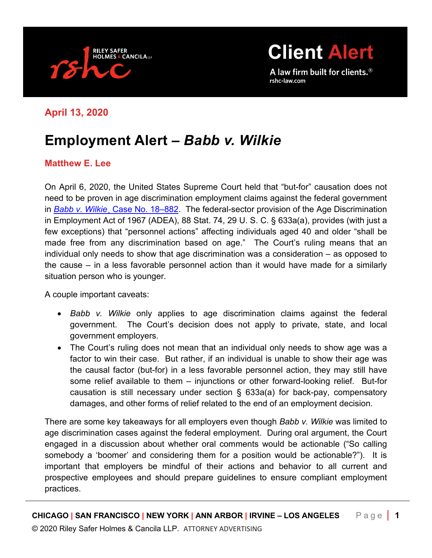

**[Client](http://www.rshc-law.com/) Alert**

A law firm built for clients.<sup>®</sup> rshc-law.com

## **April 13, 2020**

## **Employment Alert –** *Babb v. Wilkie*

## **Matthew E. Lee**

On April 6, 2020, the United States Supreme Court held that "but-for" causation does not need to be proven in age discrimination employment claims against the federal government in *Babb v. Wilkie*[¸ Case No. 18–882.](https://www.supremecourt.gov/opinions/19pdf/18-882_3ebh.pdf) The federal-sector provision of the Age Discrimination in Employment Act of 1967 (ADEA), 88 Stat. 74, 29 U. S. C. § 633a(a), provides (with just a few exceptions) that "personnel actions" affecting individuals aged 40 and older "shall be made free from any discrimination based on age." The Court's ruling means that an individual only needs to show that age discrimination was a consideration – as opposed to the cause – in a less favorable personnel action than it would have made for a similarly situation person who is younger.

A couple important caveats:

- *Babb v. Wilkie* only applies to age discrimination claims against the federal government. The Court's decision does not apply to private, state, and local government employers.
- The Court's ruling does not mean that an individual only needs to show age was a factor to win their case. But rather, if an individual is unable to show their age was the causal factor (but-for) in a less favorable personnel action, they may still have some relief available to them – injunctions or other forward-looking relief. But-for causation is still necessary under section § 633a(a) for back-pay, compensatory damages, and other forms of relief related to the end of an employment decision.

There are some key takeaways for all employers even though *Babb v. Wilkie* was limited to age discrimination cases against the federal employment. During oral argument, the Court engaged in a discussion about whether oral comments would be actionable ("So calling somebody a 'boomer' and considering them for a position would be actionable?"). It is important that employers be mindful of their actions and behavior to all current and prospective employees and should prepare guidelines to ensure compliant employment practices.